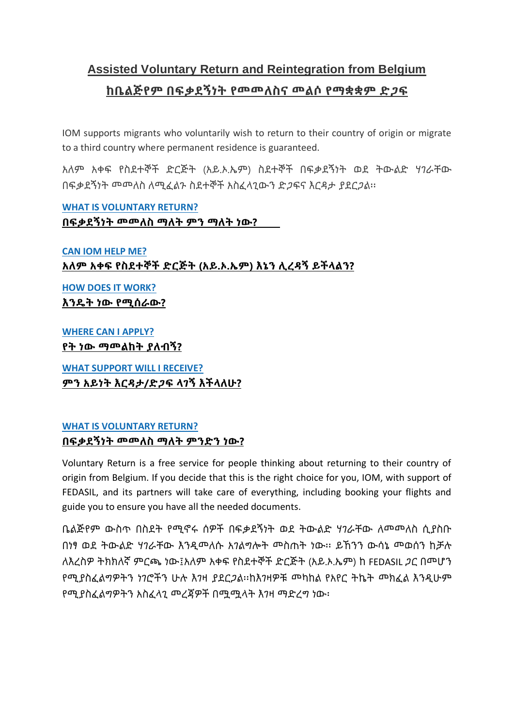# **Assisted Voluntary Return and Reintegration from Belgium ከቤልጅየም በፍቃደኝነት የመመለስና መልሶ የማቋቋም ድጋፍ**

IOM supports migrants who voluntarily wish to return to their country of origin or migrate to a third country where permanent residence is guaranteed.

አለም አቀፍ የስደተኞች ድርጅት (አይ.ኦ.ኤም) ስደተኞች በፍቃደኝነት ወደ ትውልድ ሃገራቸው በፍቃደኝነት መመለስ ለሚፈልጉ ስደተኞች አስፈላጊውን ድጋፍና እርዳታ ያደርጋል፡፡

**[WHAT IS VOLUNTARY RETURN?](https://belgium.iom.int/assisted-voluntary-return-and-reintegration-belgium#what%20is%20vr) በፍቃደኝነት መመለስ ማለት ምን ማለት ነው?**

**[CAN IOM HELP ME?](https://belgium.iom.int/assisted-voluntary-return-and-reintegration-belgium#iom%20can%20help%20you) አለም አቀፍ የስደተኞች ድርጅት (አይ.ኦ.ኤም) እኔን ሊረዳኝ ይችላልን?**

**[HOW DOES IT WORK?](https://belgium.iom.int/assisted-voluntary-return-and-reintegration-belgium#how%20does%20it%20work) እንዴት ነው የሚሰራው?**

**[WHERE CAN I APPLY?](https://belgium.iom.int/assisted-voluntary-return-and-reintegration-belgium#Apply) የት ነው ማመልከት ያለብኝ?**

**[WHAT SUPPORT WILL I RECEIVE?](https://belgium.iom.int/assisted-voluntary-return-and-reintegration-belgium#support) ምን አይነት እርዳታ/ድጋፍ ላገኝ እችላለሁ?**

#### **WHAT IS VOLUNTARY RETURN? በፍቃደኝነት መመለስ ማለት ምንድን ነው?**

Voluntary Return is a free service for people thinking about returning to their country of origin from Belgium. If you decide that this is the right choice for you, IOM, with support of FEDASIL, and its partners will take care of everything, including booking your flights and guide you to ensure you have all the needed documents.

ቤልጅየም ውስጥ በስደት የሚኖሩ ሰዎች በፍቃደኝነት ወደ ትውልድ ሃገራቸው ለመመለስ ሲያስቡ በነፃ ወደ ትውልድ ሃገራቸው እንዲመለሱ አገልግሎት መስጠት ነው፡፡ ይኸንን ውሳኔ መወሰን ከቻሉ ለእረስዎ ትክክለኛ ምርጫ ነው፤አለም አቀፍ የስደተኞች ድርጅት (አይ.ኦ.ኤም) ከ FEDASIL ጋር በመሆን የሚያስፈልግዎትን ነገሮችን ሁሉ እገዛ ያደርጋል፡፡ከእገዛዎቹ መካከል የአየር ትኬት መክፈል እንዲሁም የሚያስፈልግዎትን አስፈላጊ መረጃዎች በሟሟላት እገዛ ማድረግ ነው፡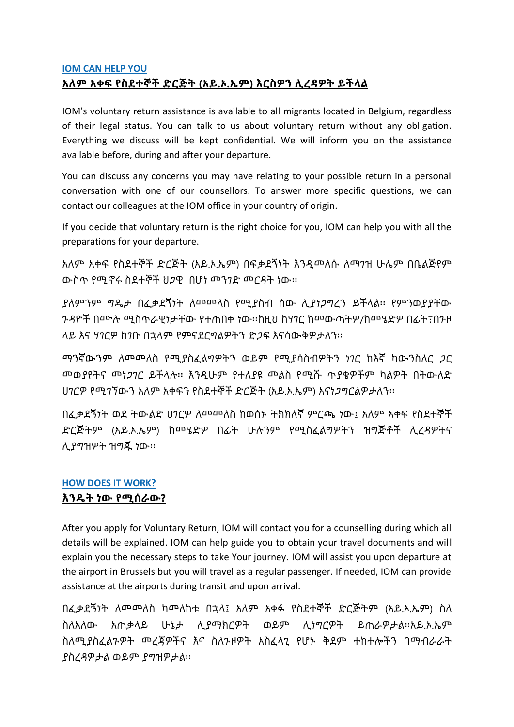### **IOM CAN HELP YOU አለም አቀፍ የስደተኞች ድርጅት (አይ.ኦ.ኤም) እርስዎን ሊረዳዎት ይችላል**

IOM's voluntary return assistance is available to all migrants located in Belgium, regardless of their legal status. You can talk to us about voluntary return without any obligation. Everything we discuss will be kept confidential. We will inform you on the assistance available before, during and after your departure.

You can discuss any concerns you may have relating to your possible return in a personal conversation with one of our counsellors. To answer more specific questions, we can contact our colleagues at the IOM office in your country of origin.

If you decide that voluntary return is the right choice for you, IOM can help you with all the preparations for your departure.

አለም አቀፍ የስደተኞች ድርጅት (አይ.ኦ.ኤም) በፍቃደኝነት እንዲመለሱ ለማገዝ ሁሌም በቤልጅየም ውስጥ የሚኖሩ ስደተኞች ህጋዊ በሆነ መንገድ መርዳት ነው፡፡

ያለምንም ግዴታ በፈቃደኝነት ለመመለስ የሚያስብ ሰው ሊያነጋግረን ይችላል፡፡ የምንወያያቸው ጉዳዮች በሙሉ ሚስጥራዊነታቸው የተጠበቀ ነው፡፡ከዚህ ከሃገር ከመውጣትዎ/ከመሄድዎ በፊት߹በጉዞ ላይ እና ሃገርዎ ከገቡ በኋላም የምናደርግልዎትን ድጋፍ እናሳውቅዎታለን፡፡

ማንኛውንም ለመመለስ የሚያስፈልግዎትን ወይም የሚያሳስብዎትን ነገር ከእኛ ካውንስለር ጋር መወያየትና መነጋገር ይችላሉ፡፡ እንዲሁም የተለያዩ መልስ የሚሹ ጥያቄዎችም ካልዎት በትውለድ ሀገርዎ የሚገኘውን አለም አቀፍን የስደተኞች ድርጅት (አይ.ኦ.ኤም) አናነጋግርልዎታለን፡፡

በፈቃደኝነት ወደ ትውልድ ሀገርዎ ለመመለስ ከወሰኑ ትክክለኛ ምርጫ ነው፤ አለም አቀፍ የስደተኞች ድርጅትም (አይ.ኦ.ኤም) ከመሄድዎ በፊት ሁሉንም የሚስፈልግዎትን ዝግጅቶች ሊረዳዎትና ሊያግዝዎት ዝግጁ ነው፡፡

# **HOW DOES IT WORK?**

### **እንዴት ነው የሚሰራው?**

After you apply for Voluntary Return, IOM will contact you for a counselling during which all details will be explained. IOM can help guide you to obtain your travel documents and will explain you the necessary steps to take Your journey. IOM will assist you upon departure at the airport in Brussels but you will travel as a regular passenger. If needed, IOM can provide assistance at the airports during transit and upon arrival.

በፈቃደኝነት ለመመለስ ካመለከቱ በኋላ፤ አለም አቀፉ የስደተኞች ድርጅትም (አይ.ኦ.ኤም) ስለ ስለአለው አጠቃላይ ሁኔታ ሊያማክርዎት ወይም ሊነግርዎት ይጠራዎታል፡፡አይ.ኦ.ኤም ስለሚያስፈልጉዎት መረጃዎችና እና ስለጉዞዎት አስፈላጊ የሆኑ ቅደም ተከተሎችን በማብራራት ያስረዳዎታል ወይም ያግዝዎታል፡፡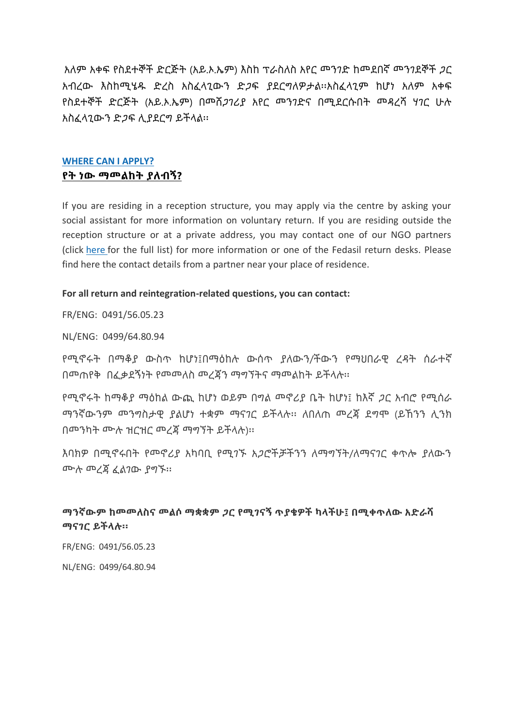አለም አቀፍ የስደተኞች ድርጅት (አይ.ኦ.ኤም) እስከ ፕራስለስ አየር መንገድ ከመደበኛ መንገደኞች ጋር አብረው እስከሚሄዱ ድረስ አስፈላጊውን ድጋፍ ያደርግለዎታል፡፡አስፈላጊም ከሆነ አለም አቀፍ የስደተኞች ድርጅት (አይ.ኦ.ኤም) በመሸጋገሪያ አየር መንገድና በሚደርሱበት መዳረሻ ሃገር ሁሉ አስፈላጊውን ድጋፍ ሊያደርግ ይችላል፡፡

#### **WHERE CAN I APPLY? የት ነው ማመልከት ያለብኝ?**

If you are residing in a reception structure, you may apply via the centre by asking your social assistant for more information on voluntary return. If you are residing outside the reception structure or at a private address, you may contact one of our NGO partners (click [here](https://belgium.iom.int/sites/default/files/AVRR%20Partners.pdf) for the full list) for more information or one of the Fedasil return desks. Please find here the contact details from a partner near your place of residence.

#### **For all return and reintegration-related questions, you can contact:**

FR/ENG: 0491/56.05.23

NL/ENG: 0499/64.80.94

የሚኖሩት በማቆያ ውስጥ ከሆነ፤በማዕከሉ ውሰጥ ያለውን/ችውን የማህበራዊ ረዳት ሰራተኛ በመጠየቅ በፈቃደኝነት የመመለስ መረጃን ማግኘትና ማመልከት ይችላሉ፡፡

የሚኖሩት ከማቆያ ማዕከል ውጪ ከሆነ ወይም በግል መኖሪያ ቤት ከሆነ፤ ከእኛ ጋር አብሮ የሚሰራ ማንኛውንም መንግስታዊ ያልሆነ ተቋም ማናገር ይችላሉ፡፡ ለበለጠ መረጃ ደግሞ (ይኸንን ሊንክ በመንካት ሙሉ ዝርዝር መረጃ ማግኘት ይችላሉ)፡፡

እባክዎ በሚኖሩበት የመኖሪያ አካባቢ የሚገኙ አጋሮችቻችንን ለማግኘት/ለማናገር ቀጥሎ ያለውን ሙሉ መረጃ ፈልገው ያግኙ፡፡

#### **ማንኛውም ከመመለስና መልሶ ማቋቋም ጋር የሚገናኝ ጥያቄዎች ካላችሁ፤ በሚቀጥለው አድራሻ ማናገር ይችላሉ፡፡**

FR/ENG: 0491/56.05.23

NL/ENG: 0499/64.80.94